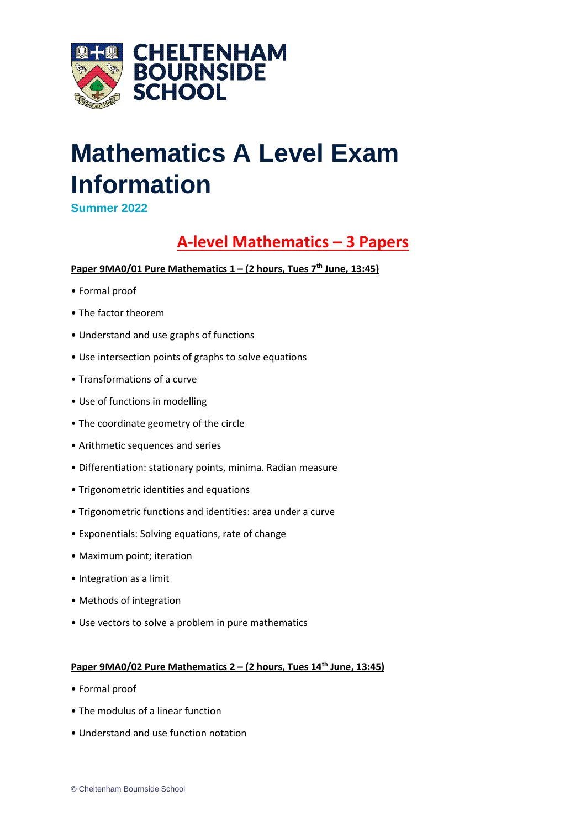

# **Mathematics A Level Exam Information**

**Summer 2022**

# **A-level Mathematics – 3 Papers**

### **Paper 9MA0/01 Pure Mathematics 1 – (2 hours, Tues 7th June, 13:45)**

- Formal proof
- The factor theorem
- Understand and use graphs of functions
- Use intersection points of graphs to solve equations
- Transformations of a curve
- Use of functions in modelling
- The coordinate geometry of the circle
- Arithmetic sequences and series
- Differentiation: stationary points, minima. Radian measure
- Trigonometric identities and equations
- Trigonometric functions and identities: area under a curve
- Exponentials: Solving equations, rate of change
- Maximum point; iteration
- Integration as a limit
- Methods of integration
- Use vectors to solve a problem in pure mathematics

### **Paper 9MA0/02 Pure Mathematics 2 – (2 hours, Tues 14th June, 13:45)**

- Formal proof
- The modulus of a linear function
- Understand and use function notation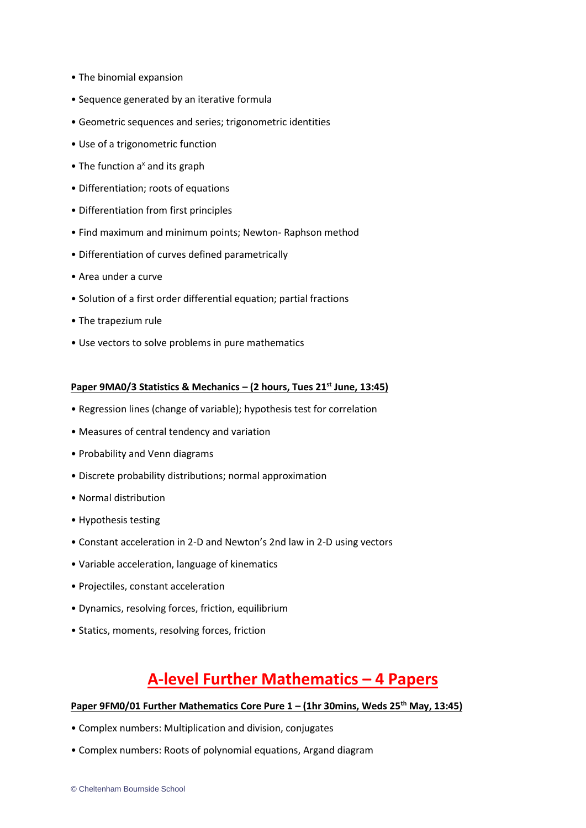- The binomial expansion
- Sequence generated by an iterative formula
- Geometric sequences and series; trigonometric identities
- Use of a trigonometric function
- $\bullet$  The function a<sup>x</sup> and its graph
- Differentiation; roots of equations
- Differentiation from first principles
- Find maximum and minimum points; Newton- Raphson method
- Differentiation of curves defined parametrically
- Area under a curve
- Solution of a first order differential equation; partial fractions
- The trapezium rule
- Use vectors to solve problems in pure mathematics

#### **Paper 9MA0/3 Statistics & Mechanics – (2 hours, Tues 21st June, 13:45)**

- Regression lines (change of variable); hypothesis test for correlation
- Measures of central tendency and variation
- Probability and Venn diagrams
- Discrete probability distributions; normal approximation
- Normal distribution
- Hypothesis testing
- Constant acceleration in 2-D and Newton's 2nd law in 2-D using vectors
- Variable acceleration, language of kinematics
- Projectiles, constant acceleration
- Dynamics, resolving forces, friction, equilibrium
- Statics, moments, resolving forces, friction

### **A-level Further Mathematics – 4 Papers**

#### **Paper 9FM0/01 Further Mathematics Core Pure 1 – (1hr 30mins, Weds 25th May, 13:45)**

- Complex numbers: Multiplication and division, conjugates
- Complex numbers: Roots of polynomial equations, Argand diagram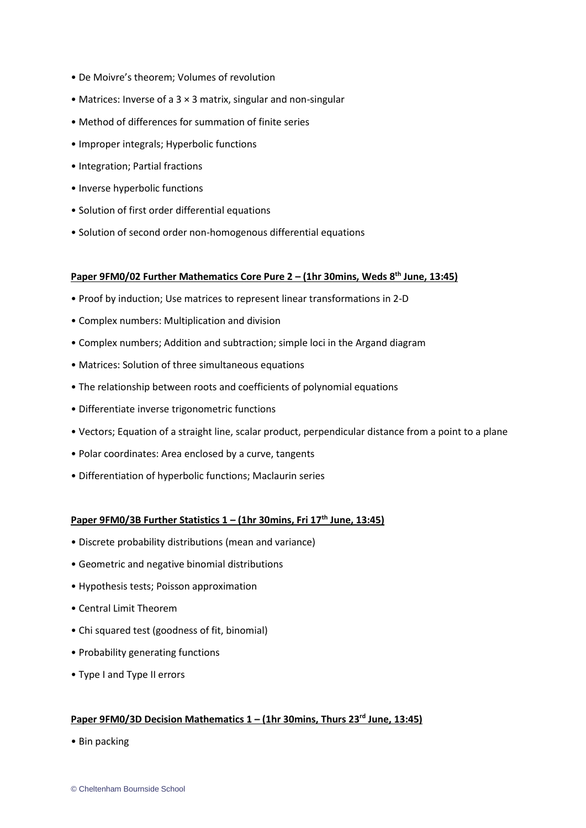- De Moivre's theorem; Volumes of revolution
- Matrices: Inverse of a 3 × 3 matrix, singular and non-singular
- Method of differences for summation of finite series
- Improper integrals; Hyperbolic functions
- Integration; Partial fractions
- Inverse hyperbolic functions
- Solution of first order differential equations
- Solution of second order non-homogenous differential equations

#### **Paper 9FM0/02 Further Mathematics Core Pure 2 – (1hr 30mins, Weds 8th June, 13:45)**

- Proof by induction; Use matrices to represent linear transformations in 2-D
- Complex numbers: Multiplication and division
- Complex numbers; Addition and subtraction; simple loci in the Argand diagram
- Matrices: Solution of three simultaneous equations
- The relationship between roots and coefficients of polynomial equations
- Differentiate inverse trigonometric functions
- Vectors; Equation of a straight line, scalar product, perpendicular distance from a point to a plane
- Polar coordinates: Area enclosed by a curve, tangents
- Differentiation of hyperbolic functions; Maclaurin series

#### **Paper 9FM0/3B Further Statistics 1 – (1hr 30mins, Fri 17th June, 13:45)**

- Discrete probability distributions (mean and variance)
- Geometric and negative binomial distributions
- Hypothesis tests; Poisson approximation
- Central Limit Theorem
- Chi squared test (goodness of fit, binomial)
- Probability generating functions
- Type I and Type II errors

#### **Paper 9FM0/3D Decision Mathematics 1 – (1hr 30mins, Thurs 23rd June, 13:45)**

• Bin packing